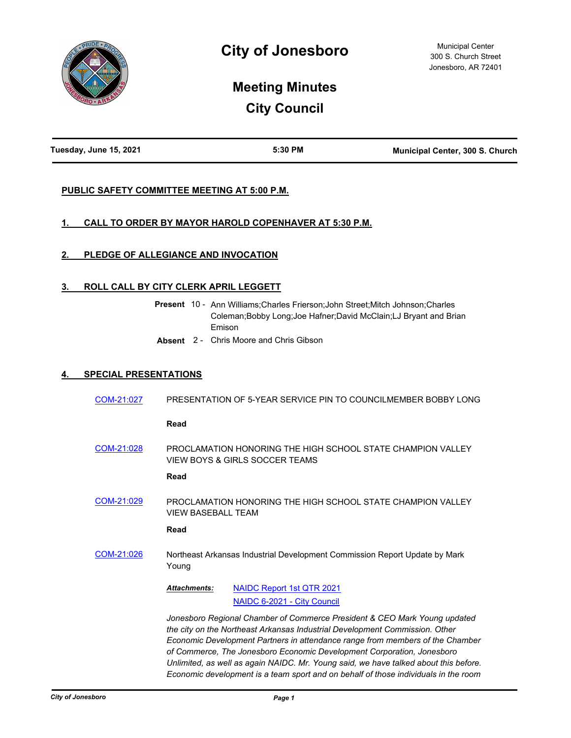

# **Meeting Minutes City Council**

| Tuesday, June 15, 2021 | 5:30 PM | <b>Municipal Center, 300 S. Church</b> |
|------------------------|---------|----------------------------------------|

# **PUBLIC SAFETY COMMITTEE MEETING AT 5:00 P.M.**

# **1. CALL TO ORDER BY MAYOR HAROLD COPENHAVER AT 5:30 P.M.**

# **2. PLEDGE OF ALLEGIANCE AND INVOCATION**

# **3. ROLL CALL BY CITY CLERK APRIL LEGGETT**

|  | <b>Present</b> 10 - Ann Williams:Charles Frierson:John Street:Mitch Johnson:Charles |
|--|-------------------------------------------------------------------------------------|
|  | Coleman; Bobby Long; Joe Hafner; David McClain; LJ Bryant and Brian                 |
|  | Emison                                                                              |

**Absent** 2 - Chris Moore and Chris Gibson

# **4. SPECIAL PRESENTATIONS**

| COM-21:027 | PRESENTATION OF 5-YEAR SERVICE PIN TO COUNCILMEMBER BOBBY LONG                                                                                                                                                                                                                                                                                                                                                                                                                                     |
|------------|----------------------------------------------------------------------------------------------------------------------------------------------------------------------------------------------------------------------------------------------------------------------------------------------------------------------------------------------------------------------------------------------------------------------------------------------------------------------------------------------------|
|            | Read                                                                                                                                                                                                                                                                                                                                                                                                                                                                                               |
| COM-21:028 | PROCLAMATION HONORING THE HIGH SCHOOL STATE CHAMPION VALLEY<br>VIEW BOYS & GIRLS SOCCER TEAMS                                                                                                                                                                                                                                                                                                                                                                                                      |
|            | Read                                                                                                                                                                                                                                                                                                                                                                                                                                                                                               |
| COM-21:029 | PROCLAMATION HONORING THE HIGH SCHOOL STATE CHAMPION VALLEY<br><b>VIEW BASEBALL TEAM</b>                                                                                                                                                                                                                                                                                                                                                                                                           |
|            | Read                                                                                                                                                                                                                                                                                                                                                                                                                                                                                               |
| COM-21:026 | Northeast Arkansas Industrial Development Commission Report Update by Mark<br>Young                                                                                                                                                                                                                                                                                                                                                                                                                |
|            | <b>NAIDC Report 1st QTR 2021</b><br><b>Attachments:</b><br>NAIDC 6-2021 - City Council                                                                                                                                                                                                                                                                                                                                                                                                             |
|            | Jonesboro Regional Chamber of Commerce President & CEO Mark Young updated<br>the city on the Northeast Arkansas Industrial Development Commission. Other<br>Economic Development Partners in attendance range from members of the Chamber<br>of Commerce, The Jonesboro Economic Development Corporation, Jonesboro<br>Unlimited, as well as again NAIDC. Mr. Young said, we have talked about this before.<br>Economic development is a team sport and on behalf of those individuals in the room |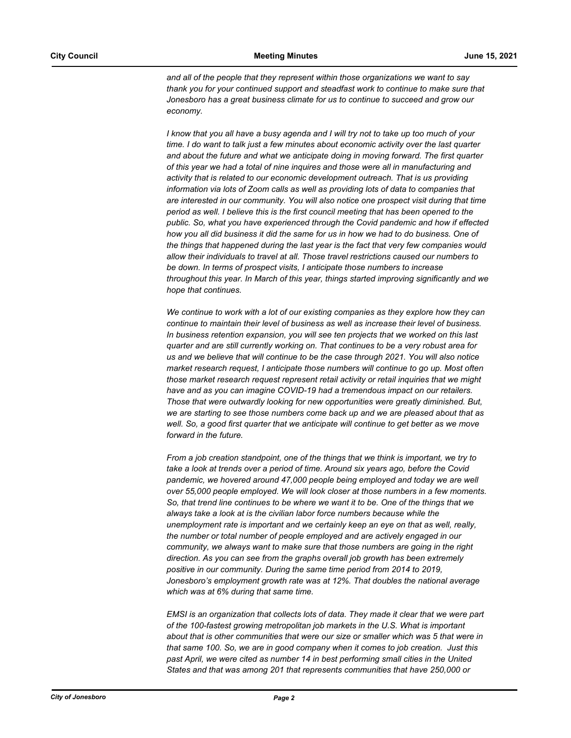*and all of the people that they represent within those organizations we want to say thank you for your continued support and steadfast work to continue to make sure that Jonesboro has a great business climate for us to continue to succeed and grow our economy.* 

*I know that you all have a busy agenda and I will try not to take up too much of your time. I do want to talk just a few minutes about economic activity over the last quarter and about the future and what we anticipate doing in moving forward. The first quarter of this year we had a total of nine inquires and those were all in manufacturing and activity that is related to our economic development outreach. That is us providing information via lots of Zoom calls as well as providing lots of data to companies that are interested in our community. You will also notice one prospect visit during that time period as well. I believe this is the first council meeting that has been opened to the public. So, what you have experienced through the Covid pandemic and how if effected how you all did business it did the same for us in how we had to do business. One of the things that happened during the last year is the fact that very few companies would allow their individuals to travel at all. Those travel restrictions caused our numbers to be down. In terms of prospect visits, I anticipate those numbers to increase throughout this year. In March of this year, things started improving significantly and we hope that continues.* 

*We continue to work with a lot of our existing companies as they explore how they can continue to maintain their level of business as well as increase their level of business. In business retention expansion, you will see ten projects that we worked on this last quarter and are still currently working on. That continues to be a very robust area for us and we believe that will continue to be the case through 2021. You will also notice market research request, I anticipate those numbers will continue to go up. Most often those market research request represent retail activity or retail inquiries that we might have and as you can imagine COVID-19 had a tremendous impact on our retailers. Those that were outwardly looking for new opportunities were greatly diminished. But, we are starting to see those numbers come back up and we are pleased about that as*  well. So, a good first quarter that we anticipate will continue to get better as we move *forward in the future.* 

*From a job creation standpoint, one of the things that we think is important, we try to take a look at trends over a period of time. Around six years ago, before the Covid pandemic, we hovered around 47,000 people being employed and today we are well over 55,000 people employed. We will look closer at those numbers in a few moments. So, that trend line continues to be where we want it to be. One of the things that we always take a look at is the civilian labor force numbers because while the unemployment rate is important and we certainly keep an eye on that as well, really, the number or total number of people employed and are actively engaged in our community, we always want to make sure that those numbers are going in the right direction. As you can see from the graphs overall job growth has been extremely positive in our community. During the same time period from 2014 to 2019, Jonesboro's employment growth rate was at 12%. That doubles the national average which was at 6% during that same time.*

*EMSI is an organization that collects lots of data. They made it clear that we were part of the 100-fastest growing metropolitan job markets in the U.S. What is important about that is other communities that were our size or smaller which was 5 that were in that same 100. So, we are in good company when it comes to job creation. Just this*  past April, we were cited as number 14 in best performing small cities in the United *States and that was among 201 that represents communities that have 250,000 or*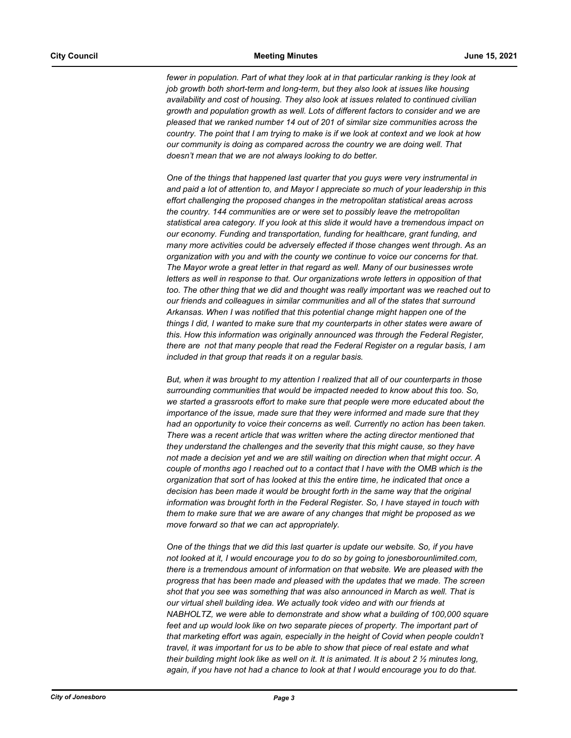*fewer in population. Part of what they look at in that particular ranking is they look at job growth both short-term and long-term, but they also look at issues like housing availability and cost of housing. They also look at issues related to continued civilian growth and population growth as well. Lots of different factors to consider and we are pleased that we ranked number 14 out of 201 of similar size communities across the country. The point that I am trying to make is if we look at context and we look at how our community is doing as compared across the country we are doing well. That doesn't mean that we are not always looking to do better.* 

*One of the things that happened last quarter that you guys were very instrumental in and paid a lot of attention to, and Mayor I appreciate so much of your leadership in this effort challenging the proposed changes in the metropolitan statistical areas across the country. 144 communities are or were set to possibly leave the metropolitan statistical area category. If you look at this slide it would have a tremendous impact on our economy. Funding and transportation, funding for healthcare, grant funding, and many more activities could be adversely effected if those changes went through. As an organization with you and with the county we continue to voice our concerns for that. The Mayor wrote a great letter in that regard as well. Many of our businesses wrote letters as well in response to that. Our organizations wrote letters in opposition of that too. The other thing that we did and thought was really important was we reached out to our friends and colleagues in similar communities and all of the states that surround Arkansas. When I was notified that this potential change might happen one of the things I did, I wanted to make sure that my counterparts in other states were aware of this. How this information was originally announced was through the Federal Register, there are not that many people that read the Federal Register on a regular basis, I am included in that group that reads it on a regular basis.* 

*But, when it was brought to my attention I realized that all of our counterparts in those surrounding communities that would be impacted needed to know about this too. So, we started a grassroots effort to make sure that people were more educated about the importance of the issue, made sure that they were informed and made sure that they had an opportunity to voice their concerns as well. Currently no action has been taken. There was a recent article that was written where the acting director mentioned that they understand the challenges and the severity that this might cause, so they have not made a decision yet and we are still waiting on direction when that might occur. A couple of months ago I reached out to a contact that I have with the OMB which is the organization that sort of has looked at this the entire time, he indicated that once a decision has been made it would be brought forth in the same way that the original information was brought forth in the Federal Register. So, I have stayed in touch with them to make sure that we are aware of any changes that might be proposed as we move forward so that we can act appropriately.* 

*One of the things that we did this last quarter is update our website. So, if you have not looked at it, I would encourage you to do so by going to jonesborounlimited.com, there is a tremendous amount of information on that website. We are pleased with the progress that has been made and pleased with the updates that we made. The screen shot that you see was something that was also announced in March as well. That is our virtual shell building idea. We actually took video and with our friends at NABHOLTZ, we were able to demonstrate and show what a building of 100,000 square*  feet and up would look like on two separate pieces of property. The important part of *that marketing effort was again, especially in the height of Covid when people couldn't travel, it was important for us to be able to show that piece of real estate and what their building might look like as well on it. It is animated. It is about 2 ½ minutes long, again, if you have not had a chance to look at that I would encourage you to do that.*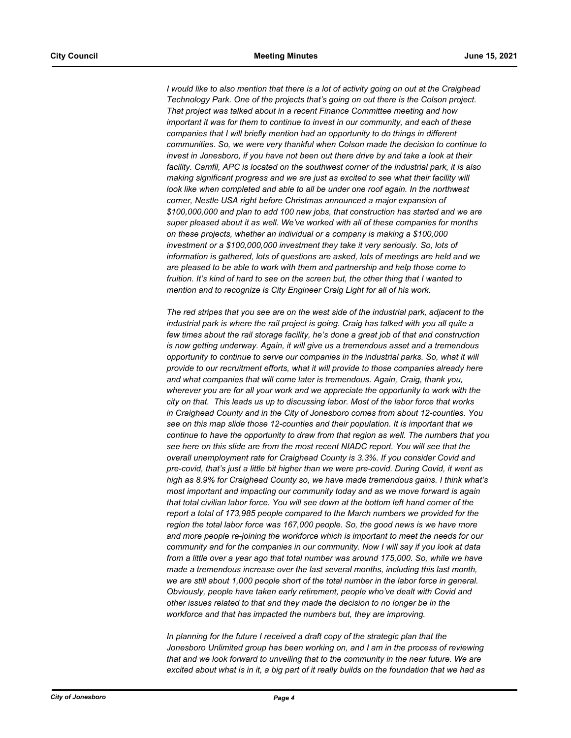*I would like to also mention that there is a lot of activity going on out at the Craighead Technology Park. One of the projects that's going on out there is the Colson project. That project was talked about in a recent Finance Committee meeting and how important it was for them to continue to invest in our community, and each of these companies that I will briefly mention had an opportunity to do things in different communities. So, we were very thankful when Colson made the decision to continue to invest in Jonesboro, if you have not been out there drive by and take a look at their facility. Camfil, APC is located on the southwest corner of the industrial park, it is also making significant progress and we are just as excited to see what their facility will*  look like when completed and able to all be under one roof again. In the northwest *corner, Nestle USA right before Christmas announced a major expansion of \$100,000,000 and plan to add 100 new jobs, that construction has started and we are super pleased about it as well. We've worked with all of these companies for months on these projects, whether an individual or a company is making a \$100,000 investment or a \$100,000,000 investment they take it very seriously. So, lots of information is gathered, lots of questions are asked, lots of meetings are held and we are pleased to be able to work with them and partnership and help those come to fruition. It's kind of hard to see on the screen but, the other thing that I wanted to mention and to recognize is City Engineer Craig Light for all of his work.* 

*The red stripes that you see are on the west side of the industrial park, adjacent to the industrial park is where the rail project is going. Craig has talked with you all quite a few times about the rail storage facility, he's done a great job of that and construction is now getting underway. Again, it will give us a tremendous asset and a tremendous opportunity to continue to serve our companies in the industrial parks. So, what it will provide to our recruitment efforts, what it will provide to those companies already here and what companies that will come later is tremendous. Again, Craig, thank you, wherever you are for all your work and we appreciate the opportunity to work with the city on that. This leads us up to discussing labor. Most of the labor force that works in Craighead County and in the City of Jonesboro comes from about 12-counties. You see on this map slide those 12-counties and their population. It is important that we continue to have the opportunity to draw from that region as well. The numbers that you see here on this slide are from the most recent NIADC report. You will see that the overall unemployment rate for Craighead County is 3.3%. If you consider Covid and pre-covid, that's just a little bit higher than we were pre-covid. During Covid, it went as high as 8.9% for Craighead County so, we have made tremendous gains. I think what's most important and impacting our community today and as we move forward is again that total civilian labor force. You will see down at the bottom left hand corner of the report a total of 173,985 people compared to the March numbers we provided for the region the total labor force was 167,000 people. So, the good news is we have more and more people re-joining the workforce which is important to meet the needs for our community and for the companies in our community. Now I will say if you look at data from a little over a year ago that total number was around 175,000. So, while we have made a tremendous increase over the last several months, including this last month, we are still about 1,000 people short of the total number in the labor force in general. Obviously, people have taken early retirement, people who've dealt with Covid and other issues related to that and they made the decision to no longer be in the workforce and that has impacted the numbers but, they are improving.*

*In planning for the future I received a draft copy of the strategic plan that the Jonesboro Unlimited group has been working on, and I am in the process of reviewing that and we look forward to unveiling that to the community in the near future. We are excited about what is in it, a big part of it really builds on the foundation that we had as*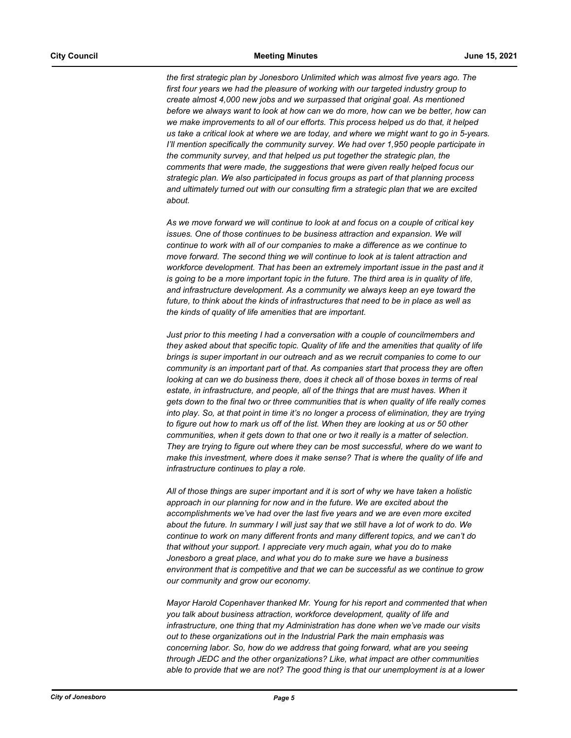*the first strategic plan by Jonesboro Unlimited which was almost five years ago. The first four years we had the pleasure of working with our targeted industry group to create almost 4,000 new jobs and we surpassed that original goal. As mentioned before we always want to look at how can we do more, how can we be better, how can we make improvements to all of our efforts. This process helped us do that, it helped us take a critical look at where we are today, and where we might want to go in 5-years. I'll mention specifically the community survey. We had over 1,950 people participate in the community survey, and that helped us put together the strategic plan, the comments that were made, the suggestions that were given really helped focus our strategic plan. We also participated in focus groups as part of that planning process and ultimately turned out with our consulting firm a strategic plan that we are excited about.* 

*As we move forward we will continue to look at and focus on a couple of critical key issues. One of those continues to be business attraction and expansion. We will continue to work with all of our companies to make a difference as we continue to move forward. The second thing we will continue to look at is talent attraction and workforce development. That has been an extremely important issue in the past and it is going to be a more important topic in the future. The third area is in quality of life, and infrastructure development. As a community we always keep an eye toward the future, to think about the kinds of infrastructures that need to be in place as well as the kinds of quality of life amenities that are important.*

*Just prior to this meeting I had a conversation with a couple of councilmembers and they asked about that specific topic. Quality of life and the amenities that quality of life brings is super important in our outreach and as we recruit companies to come to our community is an important part of that. As companies start that process they are often looking at can we do business there, does it check all of those boxes in terms of real estate, in infrastructure, and people, all of the things that are must haves. When it gets down to the final two or three communities that is when quality of life really comes into play. So, at that point in time it's no longer a process of elimination, they are trying to figure out how to mark us off of the list. When they are looking at us or 50 other communities, when it gets down to that one or two it really is a matter of selection. They are trying to figure out where they can be most successful, where do we want to make this investment, where does it make sense? That is where the quality of life and infrastructure continues to play a role.* 

*All of those things are super important and it is sort of why we have taken a holistic approach in our planning for now and in the future. We are excited about the accomplishments we've had over the last five years and we are even more excited about the future. In summary I will just say that we still have a lot of work to do. We continue to work on many different fronts and many different topics, and we can't do that without your support. I appreciate very much again, what you do to make Jonesboro a great place, and what you do to make sure we have a business environment that is competitive and that we can be successful as we continue to grow our community and grow our economy.* 

*Mayor Harold Copenhaver thanked Mr. Young for his report and commented that when you talk about business attraction, workforce development, quality of life and infrastructure, one thing that my Administration has done when we've made our visits out to these organizations out in the Industrial Park the main emphasis was concerning labor. So, how do we address that going forward, what are you seeing through JEDC and the other organizations? Like, what impact are other communities able to provide that we are not? The good thing is that our unemployment is at a lower*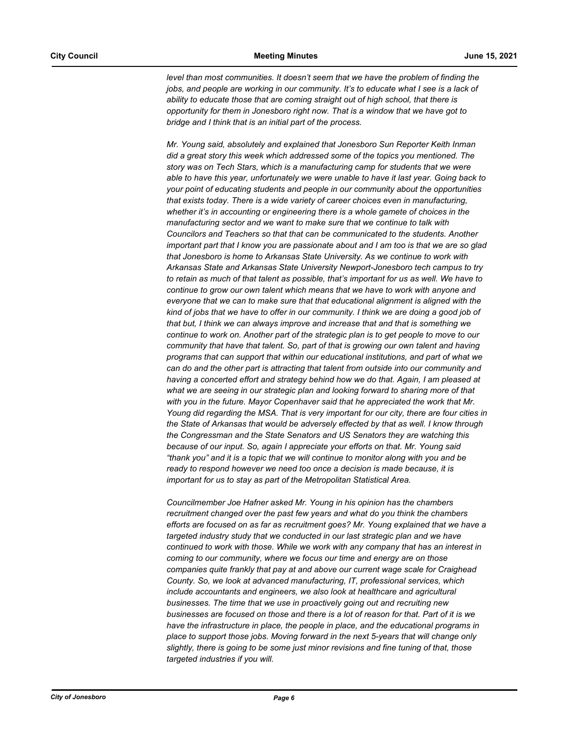*level than most communities. It doesn't seem that we have the problem of finding the jobs, and people are working in our community. It's to educate what I see is a lack of ability to educate those that are coming straight out of high school, that there is opportunity for them in Jonesboro right now. That is a window that we have got to bridge and I think that is an initial part of the process.*

*Mr. Young said, absolutely and explained that Jonesboro Sun Reporter Keith Inman did a great story this week which addressed some of the topics you mentioned. The story was on Tech Stars, which is a manufacturing camp for students that we were able to have this year, unfortunately we were unable to have it last year. Going back to your point of educating students and people in our community about the opportunities that exists today. There is a wide variety of career choices even in manufacturing, whether it's in accounting or engineering there is a whole gamete of choices in the manufacturing sector and we want to make sure that we continue to talk with Councilors and Teachers so that that can be communicated to the students. Another important part that I know you are passionate about and I am too is that we are so glad that Jonesboro is home to Arkansas State University. As we continue to work with Arkansas State and Arkansas State University Newport-Jonesboro tech campus to try to retain as much of that talent as possible, that's important for us as well. We have to continue to grow our own talent which means that we have to work with anyone and everyone that we can to make sure that that educational alignment is aligned with the kind of jobs that we have to offer in our community. I think we are doing a good job of that but, I think we can always improve and increase that and that is something we continue to work on. Another part of the strategic plan is to get people to move to our community that have that talent. So, part of that is growing our own talent and having programs that can support that within our educational institutions, and part of what we can do and the other part is attracting that talent from outside into our community and having a concerted effort and strategy behind how we do that. Again, I am pleased at what we are seeing in our strategic plan and looking forward to sharing more of that with you in the future. Mayor Copenhaver said that he appreciated the work that Mr. Young did regarding the MSA. That is very important for our city, there are four cities in the State of Arkansas that would be adversely effected by that as well. I know through the Congressman and the State Senators and US Senators they are watching this because of our input. So, again I appreciate your efforts on that. Mr. Young said "thank you" and it is a topic that we will continue to monitor along with you and be ready to respond however we need too once a decision is made because, it is important for us to stay as part of the Metropolitan Statistical Area.* 

*Councilmember Joe Hafner asked Mr. Young in his opinion has the chambers recruitment changed over the past few years and what do you think the chambers efforts are focused on as far as recruitment goes? Mr. Young explained that we have a targeted industry study that we conducted in our last strategic plan and we have continued to work with those. While we work with any company that has an interest in coming to our community, where we focus our time and energy are on those companies quite frankly that pay at and above our current wage scale for Craighead County. So, we look at advanced manufacturing, IT, professional services, which include accountants and engineers, we also look at healthcare and agricultural businesses. The time that we use in proactively going out and recruiting new businesses are focused on those and there is a lot of reason for that. Part of it is we have the infrastructure in place, the people in place, and the educational programs in place to support those jobs. Moving forward in the next 5-years that will change only slightly, there is going to be some just minor revisions and fine tuning of that, those targeted industries if you will.*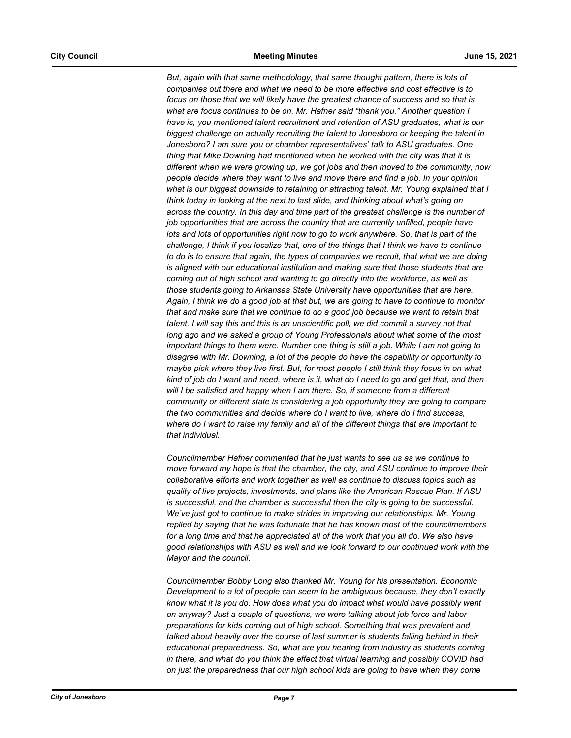*But, again with that same methodology, that same thought pattern, there is lots of companies out there and what we need to be more effective and cost effective is to focus on those that we will likely have the greatest chance of success and so that is what are focus continues to be on. Mr. Hafner said "thank you." Another question I have is, you mentioned talent recruitment and retention of ASU graduates, what is our biggest challenge on actually recruiting the talent to Jonesboro or keeping the talent in Jonesboro? I am sure you or chamber representatives' talk to ASU graduates. One thing that Mike Downing had mentioned when he worked with the city was that it is different when we were growing up, we got jobs and then moved to the community, now people decide where they want to live and move there and find a job. In your opinion what is our biggest downside to retaining or attracting talent. Mr. Young explained that I think today in looking at the next to last slide, and thinking about what's going on across the country. In this day and time part of the greatest challenge is the number of job opportunities that are across the country that are currently unfilled, people have lots and lots of opportunities right now to go to work anywhere. So, that is part of the challenge, I think if you localize that, one of the things that I think we have to continue to do is to ensure that again, the types of companies we recruit, that what we are doing is aligned with our educational institution and making sure that those students that are coming out of high school and wanting to go directly into the workforce, as well as those students going to Arkansas State University have opportunities that are here. Again, I think we do a good job at that but, we are going to have to continue to monitor that and make sure that we continue to do a good job because we want to retain that talent. I will say this and this is an unscientific poll, we did commit a survey not that long ago and we asked a group of Young Professionals about what some of the most important things to them were. Number one thing is still a job. While I am not going to disagree with Mr. Downing, a lot of the people do have the capability or opportunity to maybe pick where they live first. But, for most people I still think they focus in on what kind of job do I want and need, where is it, what do I need to go and get that, and then will I be satisfied and happy when I am there. So, if someone from a different community or different state is considering a job opportunity they are going to compare the two communities and decide where do I want to live, where do I find success, where do I want to raise my family and all of the different things that are important to that individual.*

*Councilmember Hafner commented that he just wants to see us as we continue to move forward my hope is that the chamber, the city, and ASU continue to improve their collaborative efforts and work together as well as continue to discuss topics such as quality of live projects, investments, and plans like the American Rescue Plan. If ASU is successful, and the chamber is successful then the city is going to be successful. We've just got to continue to make strides in improving our relationships. Mr. Young replied by saying that he was fortunate that he has known most of the councilmembers for a long time and that he appreciated all of the work that you all do. We also have good relationships with ASU as well and we look forward to our continued work with the Mayor and the council.*

*Councilmember Bobby Long also thanked Mr. Young for his presentation. Economic Development to a lot of people can seem to be ambiguous because, they don't exactly know what it is you do. How does what you do impact what would have possibly went on anyway? Just a couple of questions, we were talking about job force and labor preparations for kids coming out of high school. Something that was prevalent and talked about heavily over the course of last summer is students falling behind in their educational preparedness. So, what are you hearing from industry as students coming in there, and what do you think the effect that virtual learning and possibly COVID had on just the preparedness that our high school kids are going to have when they come*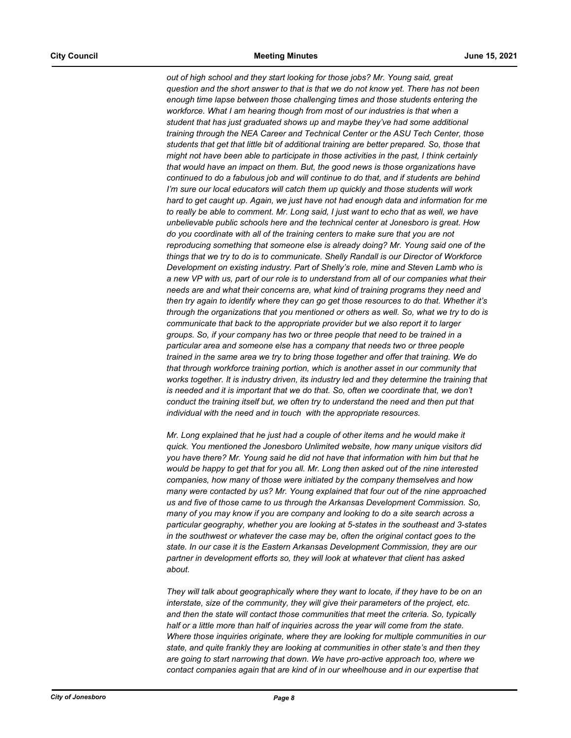*out of high school and they start looking for those jobs? Mr. Young said, great question and the short answer to that is that we do not know yet. There has not been enough time lapse between those challenging times and those students entering the*  workforce. What I am hearing though from most of our industries is that when a *student that has just graduated shows up and maybe they've had some additional training through the NEA Career and Technical Center or the ASU Tech Center, those students that get that little bit of additional training are better prepared. So, those that might not have been able to participate in those activities in the past, I think certainly that would have an impact on them. But, the good news is those organizations have continued to do a fabulous job and will continue to do that, and if students are behind I'm sure our local educators will catch them up quickly and those students will work hard to get caught up. Again, we just have not had enough data and information for me to really be able to comment. Mr. Long said, I just want to echo that as well, we have unbelievable public schools here and the technical center at Jonesboro is great. How do you coordinate with all of the training centers to make sure that you are not reproducing something that someone else is already doing? Mr. Young said one of the things that we try to do is to communicate. Shelly Randall is our Director of Workforce Development on existing industry. Part of Shelly's role, mine and Steven Lamb who is a new VP with us, part of our role is to understand from all of our companies what their needs are and what their concerns are, what kind of training programs they need and then try again to identify where they can go get those resources to do that. Whether it's through the organizations that you mentioned or others as well. So, what we try to do is communicate that back to the appropriate provider but we also report it to larger groups. So, if your company has two or three people that need to be trained in a particular area and someone else has a company that needs two or three people trained in the same area we try to bring those together and offer that training. We do that through workforce training portion, which is another asset in our community that works together. It is industry driven, its industry led and they determine the training that is needed and it is important that we do that. So, often we coordinate that, we don't conduct the training itself but, we often try to understand the need and then put that individual with the need and in touch with the appropriate resources.* 

*Mr. Long explained that he just had a couple of other items and he would make it quick. You mentioned the Jonesboro Unlimited website, how many unique visitors did you have there? Mr. Young said he did not have that information with him but that he would be happy to get that for you all. Mr. Long then asked out of the nine interested companies, how many of those were initiated by the company themselves and how many were contacted by us? Mr. Young explained that four out of the nine approached us and five of those came to us through the Arkansas Development Commission. So, many of you may know if you are company and looking to do a site search across a particular geography, whether you are looking at 5-states in the southeast and 3-states in the southwest or whatever the case may be, often the original contact goes to the state. In our case it is the Eastern Arkansas Development Commission, they are our partner in development efforts so, they will look at whatever that client has asked about.* 

*They will talk about geographically where they want to locate, if they have to be on an interstate, size of the community, they will give their parameters of the project, etc. and then the state will contact those communities that meet the criteria. So, typically half or a little more than half of inquiries across the year will come from the state. Where those inquiries originate, where they are looking for multiple communities in our state, and quite frankly they are looking at communities in other state's and then they are going to start narrowing that down. We have pro-active approach too, where we contact companies again that are kind of in our wheelhouse and in our expertise that*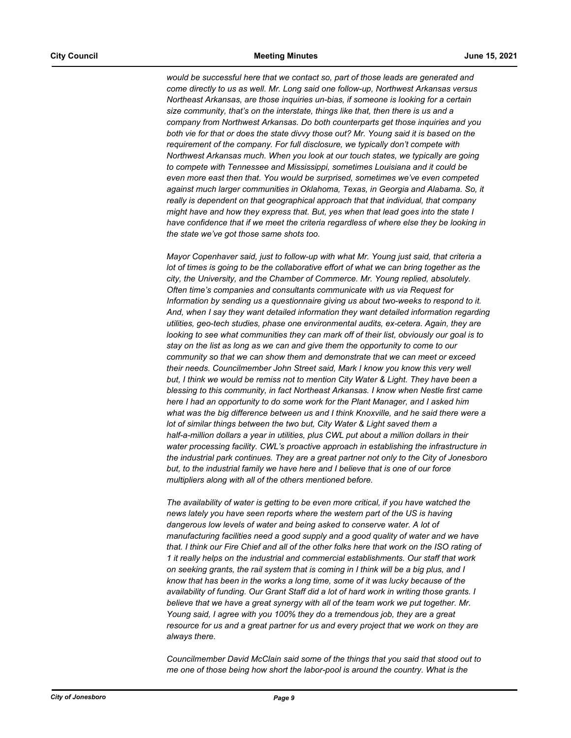*would be successful here that we contact so, part of those leads are generated and come directly to us as well. Mr. Long said one follow-up, Northwest Arkansas versus Northeast Arkansas, are those inquiries un-bias, if someone is looking for a certain size community, that's on the interstate, things like that, then there is us and a company from Northwest Arkansas. Do both counterparts get those inquiries and you both vie for that or does the state divvy those out? Mr. Young said it is based on the requirement of the company. For full disclosure, we typically don't compete with Northwest Arkansas much. When you look at our touch states, we typically are going to compete with Tennessee and Mississippi, sometimes Louisiana and it could be even more east then that. You would be surprised, sometimes we've even competed against much larger communities in Oklahoma, Texas, in Georgia and Alabama. So, it really is dependent on that geographical approach that that individual, that company might have and how they express that. But, yes when that lead goes into the state I have confidence that if we meet the criteria regardless of where else they be looking in the state we've got those same shots too.* 

*Mayor Copenhaver said, just to follow-up with what Mr. Young just said, that criteria a lot of times is going to be the collaborative effort of what we can bring together as the city, the University, and the Chamber of Commerce. Mr. Young replied, absolutely. Often time's companies and consultants communicate with us via Request for Information by sending us a questionnaire giving us about two-weeks to respond to it. And, when I say they want detailed information they want detailed information regarding utilities, geo-tech studies, phase one environmental audits, ex-cetera. Again, they are looking to see what communities they can mark off of their list, obviously our goal is to stay on the list as long as we can and give them the opportunity to come to our community so that we can show them and demonstrate that we can meet or exceed their needs. Councilmember John Street said, Mark I know you know this very well*  but, I think we would be remiss not to mention City Water & Light. They have been a *blessing to this community, in fact Northeast Arkansas. I know when Nestle first came here I had an opportunity to do some work for the Plant Manager, and I asked him what was the big difference between us and I think Knoxville, and he said there were a lot of similar things between the two but, City Water & Light saved them a half-a-million dollars a year in utilities, plus CWL put about a million dollars in their water processing facility. CWL's proactive approach in establishing the infrastructure in the industrial park continues. They are a great partner not only to the City of Jonesboro but, to the industrial family we have here and I believe that is one of our force multipliers along with all of the others mentioned before.* 

*The availability of water is getting to be even more critical, if you have watched the news lately you have seen reports where the western part of the US is having dangerous low levels of water and being asked to conserve water. A lot of manufacturing facilities need a good supply and a good quality of water and we have that. I think our Fire Chief and all of the other folks here that work on the ISO rating of 1 it really helps on the industrial and commercial establishments. Our staff that work on seeking grants, the rail system that is coming in I think will be a big plus, and I know that has been in the works a long time, some of it was lucky because of the availability of funding. Our Grant Staff did a lot of hard work in writing those grants. I believe that we have a great synergy with all of the team work we put together. Mr. Young said, I agree with you 100% they do a tremendous job, they are a great resource for us and a great partner for us and every project that we work on they are always there.*

*Councilmember David McClain said some of the things that you said that stood out to me one of those being how short the labor-pool is around the country. What is the*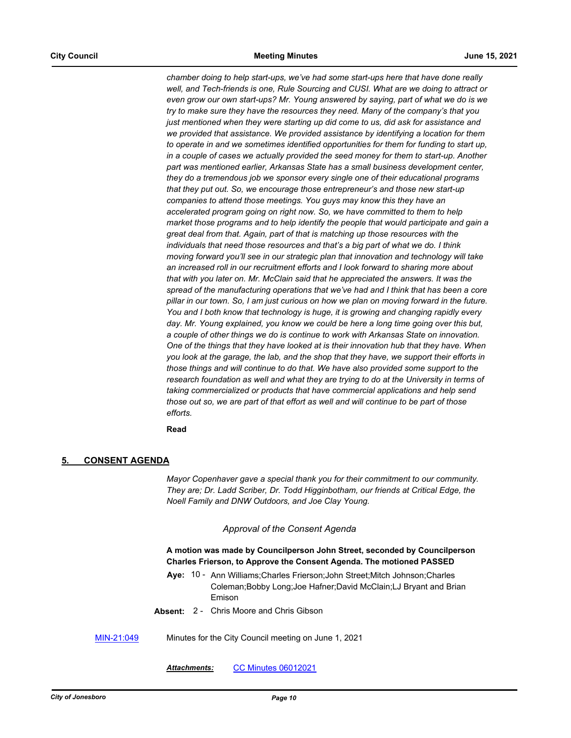*chamber doing to help start-ups, we've had some start-ups here that have done really*  well, and Tech-friends is one, Rule Sourcing and CUSI. What are we doing to attract or *even grow our own start-ups? Mr. Young answered by saying, part of what we do is we try to make sure they have the resources they need. Many of the company's that you just mentioned when they were starting up did come to us, did ask for assistance and we provided that assistance. We provided assistance by identifying a location for them to operate in and we sometimes identified opportunities for them for funding to start up, in a couple of cases we actually provided the seed money for them to start-up. Another part was mentioned earlier, Arkansas State has a small business development center, they do a tremendous job we sponsor every single one of their educational programs that they put out. So, we encourage those entrepreneur's and those new start-up companies to attend those meetings. You guys may know this they have an accelerated program going on right now. So, we have committed to them to help market those programs and to help identify the people that would participate and gain a great deal from that. Again, part of that is matching up those resources with the individuals that need those resources and that's a big part of what we do. I think moving forward you'll see in our strategic plan that innovation and technology will take an increased roll in our recruitment efforts and I look forward to sharing more about that with you later on. Mr. McClain said that he appreciated the answers. It was the spread of the manufacturing operations that we've had and I think that has been a core pillar in our town. So, I am just curious on how we plan on moving forward in the future. You and I both know that technology is huge, it is growing and changing rapidly every*  day. Mr. Young explained, you know we could be here a long time going over this but, *a couple of other things we do is continue to work with Arkansas State on innovation. One of the things that they have looked at is their innovation hub that they have. When you look at the garage, the lab, and the shop that they have, we support their efforts in those things and will continue to do that. We have also provided some support to the research foundation as well and what they are trying to do at the University in terms of taking commercialized or products that have commercial applications and help send those out so, we are part of that effort as well and will continue to be part of those efforts.*

**Read**

## **5. CONSENT AGENDA**

*Mayor Copenhaver gave a special thank you for their commitment to our community. They are; Dr. Ladd Scriber, Dr. Todd Higginbotham, our friends at Critical Edge, the Noell Family and DNW Outdoors, and Joe Clay Young.*

#### *Approval of the Consent Agenda*

## **A motion was made by Councilperson John Street, seconded by Councilperson Charles Frierson, to Approve the Consent Agenda. The motioned PASSED**

- Aye: 10 Ann Williams; Charles Frierson; John Street; Mitch Johnson; Charles Coleman;Bobby Long;Joe Hafner;David McClain;LJ Bryant and Brian Emison
- **Absent:** 2 Chris Moore and Chris Gibson
- [MIN-21:049](http://jonesboro.legistar.com/gateway.aspx?M=L&ID=21809) Minutes for the City Council meeting on June 1, 2021

*Attachments:* [CC Minutes 06012021](http://Jonesboro.legistar.com/gateway.aspx?M=F&ID=dc8e2d15-b25e-48e8-990b-ab271e271fbe.pdf)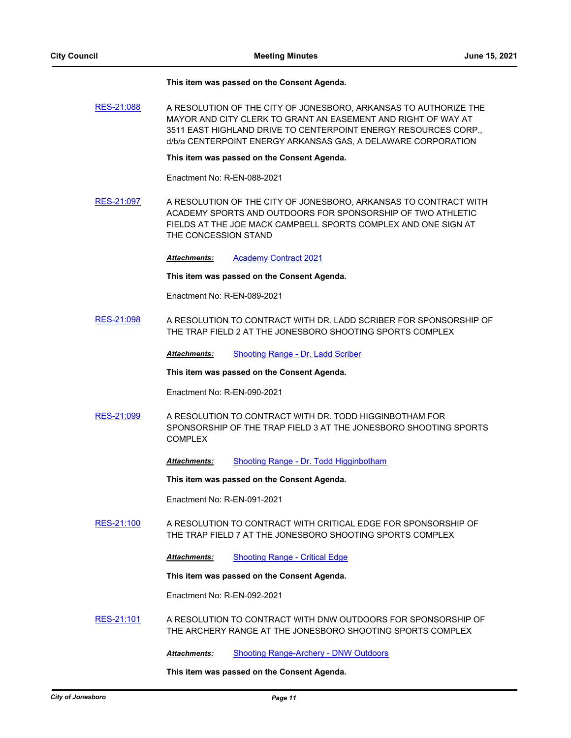#### **This item was passed on the Consent Agenda.**

[RES-21:088](http://jonesboro.legistar.com/gateway.aspx?M=L&ID=21771) A RESOLUTION OF THE CITY OF JONESBORO, ARKANSAS TO AUTHORIZE THE MAYOR AND CITY CLERK TO GRANT AN EASEMENT AND RIGHT OF WAY AT 3511 EAST HIGHLAND DRIVE TO CENTERPOINT ENERGY RESOURCES CORP., d/b/a CENTERPOINT ENERGY ARKANSAS GAS, A DELAWARE CORPORATION

#### **This item was passed on the Consent Agenda.**

Enactment No: R-EN-088-2021

[RES-21:097](http://jonesboro.legistar.com/gateway.aspx?M=L&ID=21794) A RESOLUTION OF THE CITY OF JONESBORO, ARKANSAS TO CONTRACT WITH ACADEMY SPORTS AND OUTDOORS FOR SPONSORSHIP OF TWO ATHLETIC FIELDS AT THE JOE MACK CAMPBELL SPORTS COMPLEX AND ONE SIGN AT THE CONCESSION STAND

*Attachments:* [Academy Contract 2021](http://Jonesboro.legistar.com/gateway.aspx?M=F&ID=5fc6d417-d1e0-44be-8ccc-3c44704cdc44.pdf)

**This item was passed on the Consent Agenda.**

Enactment No: R-EN-089-2021

[RES-21:098](http://jonesboro.legistar.com/gateway.aspx?M=L&ID=21795) A RESOLUTION TO CONTRACT WITH DR. LADD SCRIBER FOR SPONSORSHIP OF THE TRAP FIELD 2 AT THE JONESBORO SHOOTING SPORTS COMPLEX

*Attachments:* [Shooting Range - Dr. Ladd Scriber](http://Jonesboro.legistar.com/gateway.aspx?M=F&ID=bd55f2bf-3ce6-4895-8c8a-79447d4bebaa.docx)

**This item was passed on the Consent Agenda.**

Enactment No: R-EN-090-2021

- [RES-21:099](http://jonesboro.legistar.com/gateway.aspx?M=L&ID=21796) A RESOLUTION TO CONTRACT WITH DR. TODD HIGGINBOTHAM FOR SPONSORSHIP OF THE TRAP FIELD 3 AT THE JONESBORO SHOOTING SPORTS COMPLEX
	- *Attachments:* [Shooting Range Dr. Todd Higginbotham](http://Jonesboro.legistar.com/gateway.aspx?M=F&ID=3484e59b-2b52-4908-96a5-088e180ad529.docx)

**This item was passed on the Consent Agenda.**

Enactment No: R-EN-091-2021

- [RES-21:100](http://jonesboro.legistar.com/gateway.aspx?M=L&ID=21797) A RESOLUTION TO CONTRACT WITH CRITICAL EDGE FOR SPONSORSHIP OF THE TRAP FIELD 7 AT THE JONESBORO SHOOTING SPORTS COMPLEX
	- *Attachments:* [Shooting Range Critical Edge](http://Jonesboro.legistar.com/gateway.aspx?M=F&ID=a529636b-e21e-4c5e-8d1c-c662adfa6171.docx)

**This item was passed on the Consent Agenda.**

Enactment No: R-EN-092-2021

[RES-21:101](http://jonesboro.legistar.com/gateway.aspx?M=L&ID=21798) A RESOLUTION TO CONTRACT WITH DNW OUTDOORS FOR SPONSORSHIP OF THE ARCHERY RANGE AT THE JONESBORO SHOOTING SPORTS COMPLEX

*Attachments:* [Shooting Range-Archery - DNW Outdoors](http://Jonesboro.legistar.com/gateway.aspx?M=F&ID=3e98ea6f-98a1-4d36-ab12-bef703757cd2.docx)

**This item was passed on the Consent Agenda.**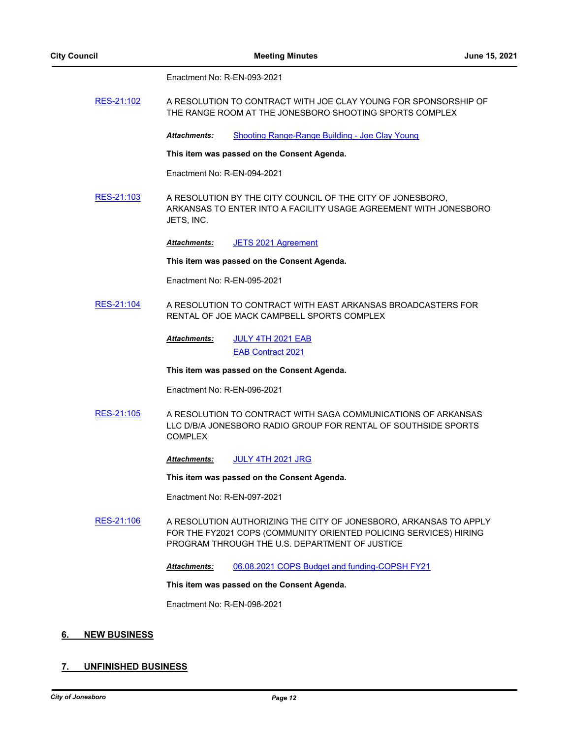Enactment No: R-EN-093-2021

[RES-21:102](http://jonesboro.legistar.com/gateway.aspx?M=L&ID=21799) A RESOLUTION TO CONTRACT WITH JOE CLAY YOUNG FOR SPONSORSHIP OF THE RANGE ROOM AT THE JONESBORO SHOOTING SPORTS COMPLEX

*Attachments:* [Shooting Range-Range Building - Joe Clay Young](http://Jonesboro.legistar.com/gateway.aspx?M=F&ID=792a9b87-71da-4f56-b963-29a1395bffc5.docx)

**This item was passed on the Consent Agenda.**

Enactment No: R-EN-094-2021

[RES-21:103](http://jonesboro.legistar.com/gateway.aspx?M=L&ID=21800) A RESOLUTION BY THE CITY COUNCIL OF THE CITY OF JONESBORO, ARKANSAS TO ENTER INTO A FACILITY USAGE AGREEMENT WITH JONESBORO JETS, INC.

*Attachments:* [JETS 2021 Agreement](http://Jonesboro.legistar.com/gateway.aspx?M=F&ID=1491ddab-3b2b-4ad9-95cc-ef23998c000a.docx)

**This item was passed on the Consent Agenda.**

Enactment No: R-EN-095-2021

[RES-21:104](http://jonesboro.legistar.com/gateway.aspx?M=L&ID=21801) A RESOLUTION TO CONTRACT WITH EAST ARKANSAS BROADCASTERS FOR RENTAL OF JOE MACK CAMPBELL SPORTS COMPLEX

> [JULY 4TH 2021 EAB](http://Jonesboro.legistar.com/gateway.aspx?M=F&ID=1b0fb10a-ec2d-4f6c-aaa2-8261307dbd54.docx) [EAB Contract 2021](http://Jonesboro.legistar.com/gateway.aspx?M=F&ID=bfdac3d3-6589-4747-bcdd-506829c52844.pdf) *Attachments:*

**This item was passed on the Consent Agenda.**

Enactment No: R-EN-096-2021

[RES-21:105](http://jonesboro.legistar.com/gateway.aspx?M=L&ID=21802) A RESOLUTION TO CONTRACT WITH SAGA COMMUNICATIONS OF ARKANSAS LLC D/B/A JONESBORO RADIO GROUP FOR RENTAL OF SOUTHSIDE SPORTS COMPLEX

*Attachments:* [JULY 4TH 2021 JRG](http://Jonesboro.legistar.com/gateway.aspx?M=F&ID=d1ea4405-345f-423a-a39a-3a352997f6e6.docx)

**This item was passed on the Consent Agenda.**

Enactment No: R-EN-097-2021

[RES-21:106](http://jonesboro.legistar.com/gateway.aspx?M=L&ID=21803) A RESOLUTION AUTHORIZING THE CITY OF JONESBORO, ARKANSAS TO APPLY FOR THE FY2021 COPS (COMMUNITY ORIENTED POLICING SERVICES) HIRING PROGRAM THROUGH THE U.S. DEPARTMENT OF JUSTICE

*Attachments:* [06.08.2021 COPS Budget and funding-COPSH FY21](http://Jonesboro.legistar.com/gateway.aspx?M=F&ID=5de25714-6caa-4700-a35a-60b5796af4d4.pdf)

**This item was passed on the Consent Agenda.**

Enactment No: R-EN-098-2021

## **6. NEW BUSINESS**

## **7. UNFINISHED BUSINESS**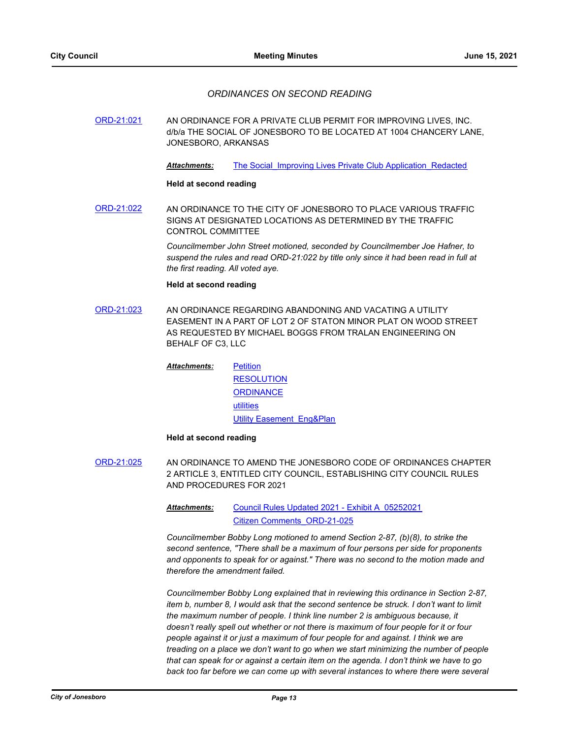## *ORDINANCES ON SECOND READING*

[ORD-21:021](http://jonesboro.legistar.com/gateway.aspx?M=L&ID=21755) AN ORDINANCE FOR A PRIVATE CLUB PERMIT FOR IMPROVING LIVES, INC. d/b/a THE SOCIAL OF JONESBORO TO BE LOCATED AT 1004 CHANCERY LANE, JONESBORO, ARKANSAS

Attachments: The Social Improving Lives Private Club Application Redacted

#### **Held at second reading**

[ORD-21:022](http://jonesboro.legistar.com/gateway.aspx?M=L&ID=21721) AN ORDINANCE TO THE CITY OF JONESBORO TO PLACE VARIOUS TRAFFIC SIGNS AT DESIGNATED LOCATIONS AS DETERMINED BY THE TRAFFIC CONTROL COMMITTEE

> *Councilmember John Street motioned, seconded by Councilmember Joe Hafner, to suspend the rules and read ORD-21:022 by title only since it had been read in full at the first reading. All voted aye.*

#### **Held at second reading**

[ORD-21:023](http://jonesboro.legistar.com/gateway.aspx?M=L&ID=21747) AN ORDINANCE REGARDING ABANDONING AND VACATING A UTILITY EASEMENT IN A PART OF LOT 2 OF STATON MINOR PLAT ON WOOD STREET AS REQUESTED BY MICHAEL BOGGS FROM TRALAN ENGINEERING ON BEHALF OF C3, LLC

> **[Petition](http://Jonesboro.legistar.com/gateway.aspx?M=F&ID=1e5f0af1-9e97-4d76-9ed3-04cebb6ae8e6.doc) [RESOLUTION](http://Jonesboro.legistar.com/gateway.aspx?M=F&ID=0bceb12a-a693-4cc4-afb3-7934400563f9.docx) [ORDINANCE](http://Jonesboro.legistar.com/gateway.aspx?M=F&ID=05627913-7511-49c1-9227-6ce48b726d27.docx)** [utilities](http://Jonesboro.legistar.com/gateway.aspx?M=F&ID=6fe05ea1-5cca-4d7a-9fa7-1b9e5371b334.pdf) [Utility Easement\\_Eng&Plan](http://Jonesboro.legistar.com/gateway.aspx?M=F&ID=85510ae9-94d3-471b-a1ae-0c2d44b6f621.pdf) *Attachments:*

#### **Held at second reading**

[ORD-21:025](http://jonesboro.legistar.com/gateway.aspx?M=L&ID=21767) AN ORDINANCE TO AMEND THE JONESBORO CODE OF ORDINANCES CHAPTER 2 ARTICLE 3, ENTITLED CITY COUNCIL, ESTABLISHING CITY COUNCIL RULES AND PROCEDURES FOR 2021

> [Council Rules Updated 2021 - Exhibit A\\_05252021](http://Jonesboro.legistar.com/gateway.aspx?M=F&ID=f7d11399-678b-4348-9093-2cb9badf7c1b.pdf) [Citizen Comments\\_ORD-21-025](http://Jonesboro.legistar.com/gateway.aspx?M=F&ID=9baf207c-427d-4f46-a7e3-0383fdac7570.pdf) *Attachments:*

*Councilmember Bobby Long motioned to amend Section 2-87, (b)(8), to strike the second sentence, "There shall be a maximum of four persons per side for proponents and opponents to speak for or against." There was no second to the motion made and therefore the amendment failed.*

*Councilmember Bobby Long explained that in reviewing this ordinance in Section 2-87, item b, number 8, I would ask that the second sentence be struck. I don't want to limit the maximum number of people. I think line number 2 is ambiguous because, it doesn't really spell out whether or not there is maximum of four people for it or four people against it or just a maximum of four people for and against. I think we are treading on a place we don't want to go when we start minimizing the number of people that can speak for or against a certain item on the agenda. I don't think we have to go*  back too far before we can come up with several instances to where there were several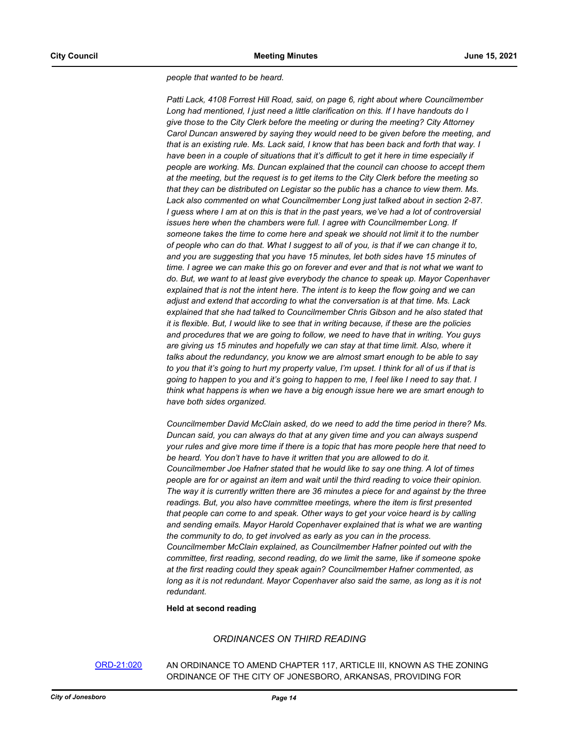*people that wanted to be heard.* 

*Patti Lack, 4108 Forrest Hill Road, said, on page 6, right about where Councilmember Long had mentioned, I just need a little clarification on this. If I have handouts do I give those to the City Clerk before the meeting or during the meeting? City Attorney Carol Duncan answered by saying they would need to be given before the meeting, and that is an existing rule. Ms. Lack said, I know that has been back and forth that way. I have been in a couple of situations that it's difficult to get it here in time especially if people are working. Ms. Duncan explained that the council can choose to accept them at the meeting, but the request is to get items to the City Clerk before the meeting so that they can be distributed on Legistar so the public has a chance to view them. Ms. Lack also commented on what Councilmember Long just talked about in section 2-87. I guess where I am at on this is that in the past years, we've had a lot of controversial issues here when the chambers were full. I agree with Councilmember Long. If someone takes the time to come here and speak we should not limit it to the number of people who can do that. What I suggest to all of you, is that if we can change it to, and you are suggesting that you have 15 minutes, let both sides have 15 minutes of time. I agree we can make this go on forever and ever and that is not what we want to do. But, we want to at least give everybody the chance to speak up. Mayor Copenhaver explained that is not the intent here. The intent is to keep the flow going and we can adjust and extend that according to what the conversation is at that time. Ms. Lack explained that she had talked to Councilmember Chris Gibson and he also stated that it is flexible. But, I would like to see that in writing because, if these are the policies and procedures that we are going to follow, we need to have that in writing. You guys are giving us 15 minutes and hopefully we can stay at that time limit. Also, where it talks about the redundancy, you know we are almost smart enough to be able to say to you that it's going to hurt my property value, I'm upset. I think for all of us if that is going to happen to you and it's going to happen to me, I feel like I need to say that. I think what happens is when we have a big enough issue here we are smart enough to have both sides organized.*

*Councilmember David McClain asked, do we need to add the time period in there? Ms. Duncan said, you can always do that at any given time and you can always suspend your rules and give more time if there is a topic that has more people here that need to be heard. You don't have to have it written that you are allowed to do it. Councilmember Joe Hafner stated that he would like to say one thing. A lot of times people are for or against an item and wait until the third reading to voice their opinion. The way it is currently written there are 36 minutes a piece for and against by the three readings. But, you also have committee meetings, where the item is first presented that people can come to and speak. Other ways to get your voice heard is by calling and sending emails. Mayor Harold Copenhaver explained that is what we are wanting the community to do, to get involved as early as you can in the process. Councilmember McClain explained, as Councilmember Hafner pointed out with the committee, first reading, second reading, do we limit the same, like if someone spoke at the first reading could they speak again? Councilmember Hafner commented, as*  long as it is not redundant. Mayor Copenhaver also said the same, as long as it is not *redundant.*

#### **Held at second reading**

# *ORDINANCES ON THIRD READING*

## [ORD-21:020](http://jonesboro.legistar.com/gateway.aspx?M=L&ID=21742) AN ORDINANCE TO AMEND CHAPTER 117, ARTICLE III, KNOWN AS THE ZONING ORDINANCE OF THE CITY OF JONESBORO, ARKANSAS, PROVIDING FOR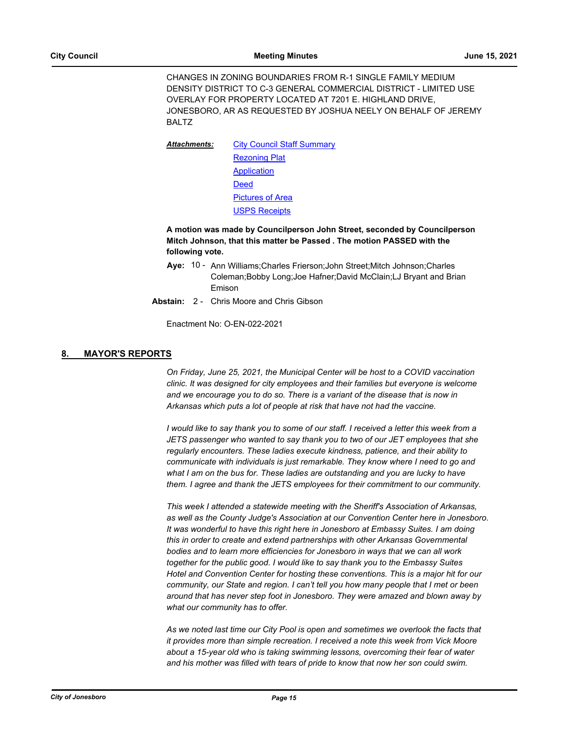CHANGES IN ZONING BOUNDARIES FROM R-1 SINGLE FAMILY MEDIUM DENSITY DISTRICT TO C-3 GENERAL COMMERCIAL DISTRICT - LIMITED USE OVERLAY FOR PROPERTY LOCATED AT 7201 E. HIGHLAND DRIVE, JONESBORO, AR AS REQUESTED BY JOSHUA NEELY ON BEHALF OF JEREMY BALTZ

[City Council Staff Summary](http://Jonesboro.legistar.com/gateway.aspx?M=F&ID=16a1d383-aebc-4cd8-b3cc-098c83acd6ba.pdf) [Rezoning Plat](http://Jonesboro.legistar.com/gateway.aspx?M=F&ID=ffb24a50-7f1c-4663-b0d5-85b2cc7f4b62.pdf) [Application](http://Jonesboro.legistar.com/gateway.aspx?M=F&ID=b7d9924e-cfba-453d-a7ac-e6f7611af457.pdf) [Deed](http://Jonesboro.legistar.com/gateway.aspx?M=F&ID=8bdddd86-df7d-4cab-939d-111ecdc96160.pdf) [Pictures of Area](http://Jonesboro.legistar.com/gateway.aspx?M=F&ID=c54c82f2-8cad-4fd4-a63b-6d266cd8befe.pdf) [USPS Receipts](http://Jonesboro.legistar.com/gateway.aspx?M=F&ID=0030b39a-dbfc-4368-9b77-024317357271.pdf) *Attachments:*

# **A motion was made by Councilperson John Street, seconded by Councilperson Mitch Johnson, that this matter be Passed . The motion PASSED with the following vote.**

- Aye: 10 Ann Williams; Charles Frierson; John Street; Mitch Johnson; Charles Coleman;Bobby Long;Joe Hafner;David McClain;LJ Bryant and Brian Emison
- **Abstain:** 2 Chris Moore and Chris Gibson

Enactment No: O-EN-022-2021

# **8. MAYOR'S REPORTS**

*On Friday, June 25, 2021, the Municipal Center will be host to a COVID vaccination clinic. It was designed for city employees and their families but everyone is welcome and we encourage you to do so. There is a variant of the disease that is now in Arkansas which puts a lot of people at risk that have not had the vaccine.*

*I* would like to say thank you to some of our staff. I received a letter this week from a *JETS passenger who wanted to say thank you to two of our JET employees that she regularly encounters. These ladies execute kindness, patience, and their ability to communicate with individuals is just remarkable. They know where I need to go and what I am on the bus for. These ladies are outstanding and you are lucky to have them. I agree and thank the JETS employees for their commitment to our community.* 

*This week I attended a statewide meeting with the Sheriff's Association of Arkansas, as well as the County Judge's Association at our Convention Center here in Jonesboro. It was wonderful to have this right here in Jonesboro at Embassy Suites. I am doing this in order to create and extend partnerships with other Arkansas Governmental bodies and to learn more efficiencies for Jonesboro in ways that we can all work together for the public good. I would like to say thank you to the Embassy Suites Hotel and Convention Center for hosting these conventions. This is a major hit for our community, our State and region. I can't tell you how many people that I met or been around that has never step foot in Jonesboro. They were amazed and blown away by what our community has to offer.* 

*As we noted last time our City Pool is open and sometimes we overlook the facts that it provides more than simple recreation. I received a note this week from Vick Moore about a 15-year old who is taking swimming lessons, overcoming their fear of water and his mother was filled with tears of pride to know that now her son could swim.*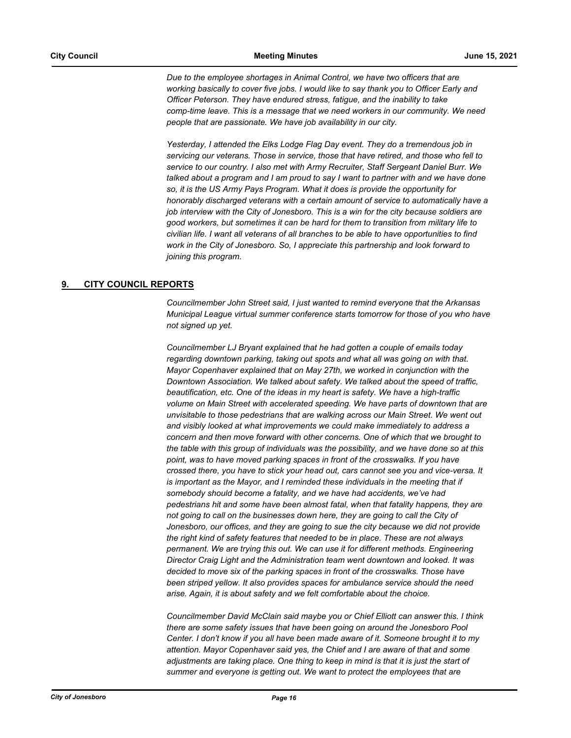*Due to the employee shortages in Animal Control, we have two officers that are working basically to cover five jobs. I would like to say thank you to Officer Early and Officer Peterson. They have endured stress, fatigue, and the inability to take comp-time leave. This is a message that we need workers in our community. We need people that are passionate. We have job availability in our city.*

*Yesterday, I attended the Elks Lodge Flag Day event. They do a tremendous job in servicing our veterans. Those in service, those that have retired, and those who fell to service to our country. I also met with Army Recruiter, Staff Sergeant Daniel Burr. We talked about a program and I am proud to say I want to partner with and we have done so, it is the US Army Pays Program. What it does is provide the opportunity for honorably discharged veterans with a certain amount of service to automatically have a job interview with the City of Jonesboro. This is a win for the city because soldiers are good workers, but sometimes it can be hard for them to transition from military life to civilian life. I want all veterans of all branches to be able to have opportunities to find work in the City of Jonesboro. So, I appreciate this partnership and look forward to joining this program.*

# **9. CITY COUNCIL REPORTS**

*Councilmember John Street said, I just wanted to remind everyone that the Arkansas Municipal League virtual summer conference starts tomorrow for those of you who have not signed up yet.* 

*Councilmember LJ Bryant explained that he had gotten a couple of emails today regarding downtown parking, taking out spots and what all was going on with that. Mayor Copenhaver explained that on May 27th, we worked in conjunction with the Downtown Association. We talked about safety. We talked about the speed of traffic, beautification, etc. One of the ideas in my heart is safety. We have a high-traffic volume on Main Street with accelerated speeding. We have parts of downtown that are unvisitable to those pedestrians that are walking across our Main Street. We went out and visibly looked at what improvements we could make immediately to address a concern and then move forward with other concerns. One of which that we brought to the table with this group of individuals was the possibility, and we have done so at this*  point, was to have moved parking spaces in front of the crosswalks. If you have *crossed there, you have to stick your head out, cars cannot see you and vice-versa. It is important as the Mayor, and I reminded these individuals in the meeting that if somebody should become a fatality, and we have had accidents, we've had pedestrians hit and some have been almost fatal, when that fatality happens, they are not going to call on the businesses down here, they are going to call the City of Jonesboro, our offices, and they are going to sue the city because we did not provide the right kind of safety features that needed to be in place. These are not always permanent. We are trying this out. We can use it for different methods. Engineering Director Craig Light and the Administration team went downtown and looked. It was decided to move six of the parking spaces in front of the crosswalks. Those have been striped yellow. It also provides spaces for ambulance service should the need arise. Again, it is about safety and we felt comfortable about the choice.* 

*Councilmember David McClain said maybe you or Chief Elliott can answer this. I think there are some safety issues that have been going on around the Jonesboro Pool Center. I don't know if you all have been made aware of it. Someone brought it to my attention. Mayor Copenhaver said yes, the Chief and I are aware of that and some adjustments are taking place. One thing to keep in mind is that it is just the start of summer and everyone is getting out. We want to protect the employees that are*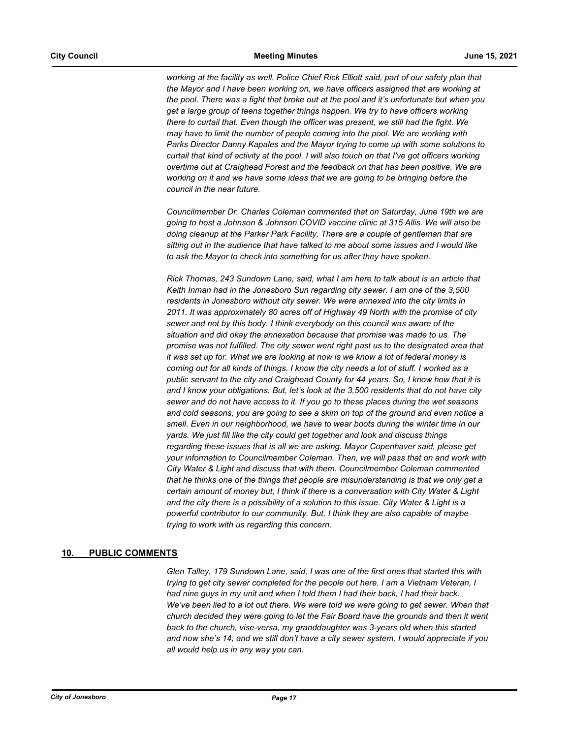working at the facility as well. Police Chief Rick Elliott said, part of our safety plan that *the Mayor and I have been working on, we have officers assigned that are working at the pool. There was a fight that broke out at the pool and it's unfortunate but when you get a large group of teens together things happen. We try to have officers working there to curtail that. Even though the officer was present, we still had the fight. We may have to limit the number of people coming into the pool. We are working with Parks Director Danny Kapales and the Mayor trying to come up with some solutions to curtail that kind of activity at the pool. I will also touch on that I've got officers working overtime out at Craighead Forest and the feedback on that has been positive. We are working on it and we have some ideas that we are going to be bringing before the council in the near future.* 

*Councilmember Dr. Charles Coleman commented that on Saturday, June 19th we are going to host a Johnson & Johnson COVID vaccine clinic at 315 Allis. We will also be doing cleanup at the Parker Park Facility. There are a couple of gentleman that are sitting out in the audience that have talked to me about some issues and I would like to ask the Mayor to check into something for us after they have spoken.* 

*Rick Thomas, 243 Sundown Lane, said, what I am here to talk about is an article that Keith Inman had in the Jonesboro Sun regarding city sewer. I am one of the 3,500 residents in Jonesboro without city sewer. We were annexed into the city limits in 2011. It was approximately 80 acres off of Highway 49 North with the promise of city sewer and not by this body. I think everybody on this council was aware of the situation and did okay the annexation because that promise was made to us. The promise was not fulfilled. The city sewer went right past us to the designated area that it was set up for. What we are looking at now is we know a lot of federal money is coming out for all kinds of things. I know the city needs a lot of stuff. I worked as a public servant to the city and Craighead County for 44 years. So, I know how that it is and I know your obligations. But, let's look at the 3,500 residents that do not have city sewer and do not have access to it. If you go to these places during the wet seasons and cold seasons, you are going to see a skim on top of the ground and even notice a smell. Even in our neighborhood, we have to wear boots during the winter time in our yards. We just fill like the city could get together and look and discuss things regarding these issues that is all we are asking. Mayor Copenhaver said, please get your information to Councilmember Coleman. Then, we will pass that on and work with City Water & Light and discuss that with them. Councilmember Coleman commented that he thinks one of the things that people are misunderstanding is that we only get a certain amount of money but, I think if there is a conversation with City Water & Light and the city there is a possibility of a solution to this issue. City Water & Light is a powerful contributor to our community. But, I think they are also capable of maybe trying to work with us regarding this concern.*

# **10. PUBLIC COMMENTS**

*Glen Talley, 179 Sundown Lane, said, I was one of the first ones that started this with trying to get city sewer completed for the people out here. I am a Vietnam Veteran, I had nine guys in my unit and when I told them I had their back, I had their back.*  We've been lied to a lot out there. We were told we were going to get sewer. When that *church decided they were going to let the Fair Board have the grounds and then it went back to the church, vise-versa, my granddaughter was 3-years old when this started and now she's 14, and we still don't have a city sewer system. I would appreciate if you all would help us in any way you can.*